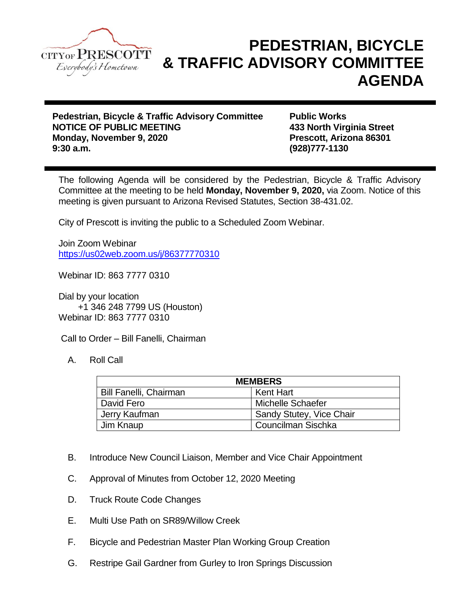

## **PEDESTRIAN, BICYCLE & TRAFFIC ADVISORY COMMITTEE AGENDA**

**Pedestrian, Bicycle & Traffic Advisory Committee Public Works NOTICE OF PUBLIC MEETING 433 North Virginia Street Monday, November 9, 2020 Prescott, Arizona 86301 9:30 a.m. (928)777-1130**

The following Agenda will be considered by the Pedestrian, Bicycle & Traffic Advisory Committee at the meeting to be held **Monday, November 9, 2020,** via Zoom. Notice of this meeting is given pursuant to Arizona Revised Statutes, Section 38-431.02.

City of Prescott is inviting the public to a Scheduled Zoom Webinar.

Join Zoom Webinar <https://us02web.zoom.us/j/86377770310>

Webinar ID: 863 7777 0310

Dial by your location +1 346 248 7799 US (Houston) Webinar ID: 863 7777 0310

Call to Order – Bill Fanelli, Chairman

A. Roll Call

| <b>MEMBERS</b>                |                          |
|-------------------------------|--------------------------|
| <b>Bill Fanelli, Chairman</b> | <b>Kent Hart</b>         |
| David Fero                    | Michelle Schaefer        |
| Jerry Kaufman                 | Sandy Stutey, Vice Chair |
| Jim Knaup                     | Councilman Sischka       |

- B. Introduce New Council Liaison, Member and Vice Chair Appointment
- C. Approval of Minutes from October 12, 2020 Meeting
- D. Truck Route Code Changes
- E. Multi Use Path on SR89/Willow Creek
- F. Bicycle and Pedestrian Master Plan Working Group Creation
- G. Restripe Gail Gardner from Gurley to Iron Springs Discussion